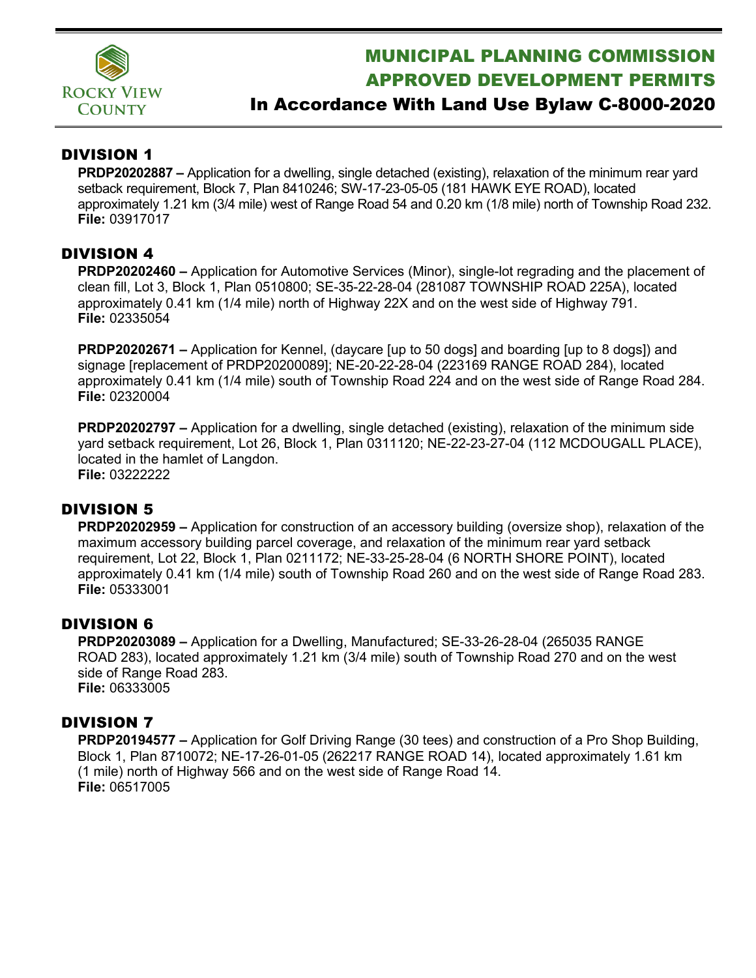

# MUNICIPAL PLANNING COMMISSION APPROVED DEVELOPMENT PERMITS

## In Accordance With Land Use Bylaw C-8000-2020

### DIVISION 1

**PRDP20202887 –** Application for a dwelling, single detached (existing), relaxation of the minimum rear yard setback requirement, Block 7, Plan 8410246; SW-17-23-05-05 (181 HAWK EYE ROAD), located approximately 1.21 km (3/4 mile) west of Range Road 54 and 0.20 km (1/8 mile) north of Township Road 232. **File:** 03917017

#### DIVISION 4

**PRDP20202460 –** Application for Automotive Services (Minor), single-lot regrading and the placement of clean fill, Lot 3, Block 1, Plan 0510800; SE-35-22-28-04 (281087 TOWNSHIP ROAD 225A), located approximately 0.41 km (1/4 mile) north of Highway 22X and on the west side of Highway 791. **File:** 02335054

**PRDP20202671 –** Application for Kennel, (daycare [up to 50 dogs] and boarding [up to 8 dogs]) and signage [replacement of PRDP20200089]; NE-20-22-28-04 (223169 RANGE ROAD 284), located approximately 0.41 km (1/4 mile) south of Township Road 224 and on the west side of Range Road 284. **File:** 02320004

**PRDP20202797 –** Application for a dwelling, single detached (existing), relaxation of the minimum side yard setback requirement, Lot 26, Block 1, Plan 0311120; NE-22-23-27-04 (112 MCDOUGALL PLACE), located in the hamlet of Langdon. **File:** 03222222

#### DIVISION 5

**PRDP20202959 –** Application for construction of an accessory building (oversize shop), relaxation of the maximum accessory building parcel coverage, and relaxation of the minimum rear yard setback requirement, Lot 22, Block 1, Plan 0211172; NE-33-25-28-04 (6 NORTH SHORE POINT), located approximately 0.41 km (1/4 mile) south of Township Road 260 and on the west side of Range Road 283. **File:** 05333001

#### DIVISION 6

**PRDP20203089 –** Application for a Dwelling, Manufactured; SE-33-26-28-04 (265035 RANGE ROAD 283), located approximately 1.21 km (3/4 mile) south of Township Road 270 and on the west side of Range Road 283. **File:** 06333005

#### DIVISION 7

**PRDP20194577 –** Application for Golf Driving Range (30 tees) and construction of a Pro Shop Building, Block 1, Plan 8710072; NE-17-26-01-05 (262217 RANGE ROAD 14), located approximately 1.61 km (1 mile) north of Highway 566 and on the west side of Range Road 14. **File:** 06517005